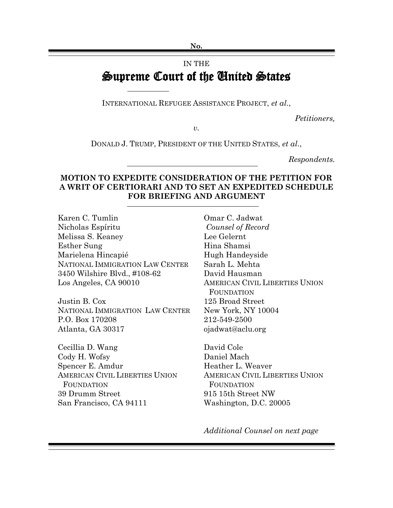**No.**

## IN THE Supreme Court of the United States

INTERNATIONAL REFUGEE ASSISTANCE PROJECT, *et al*.,

*Petitioners,*

*v.*

DONALD J. TRUMP, PRESIDENT OF THE UNITED STATES, *et al*.,

*Respondents.*

## **MOTION TO EXPEDITE CONSIDERATION OF THE PETITION FOR A WRIT OF CERTIORARI AND TO SET AN EXPEDITED SCHEDULE FOR BRIEFING AND ARGUMENT**

Karen C. Tumlin Nicholas Espíritu Melissa S. Keaney Esther Sung Marielena Hincapié NATIONAL IMMIGRATION LAW CENTER 3450 Wilshire Blvd., #108-62 Los Angeles, CA 90010

Justin B. Cox NATIONAL IMMIGRATION LAW CENTER P.O. Box 170208 Atlanta, GA 30317

Cecillia D. Wang Cody H. Wofsy Spencer E. Amdur AMERICAN CIVIL LIBERTIES UNION **FOUNDATION** 39 Drumm Street San Francisco, CA 94111

Omar C. Jadwat *Counsel of Record* Lee Gelernt Hina Shamsi Hugh Handeyside Sarah L. Mehta David Hausman AMERICAN CIVIL LIBERTIES UNION FOUNDATION 125 Broad Street New York, NY 10004 212-549-2500 ojadwat@aclu.org

David Cole Daniel Mach Heather L. Weaver AMERICAN CIVIL LIBERTIES UNION **FOUNDATION** 915 15th Street NW Washington, D.C. 20005

*Additional Counsel on next page*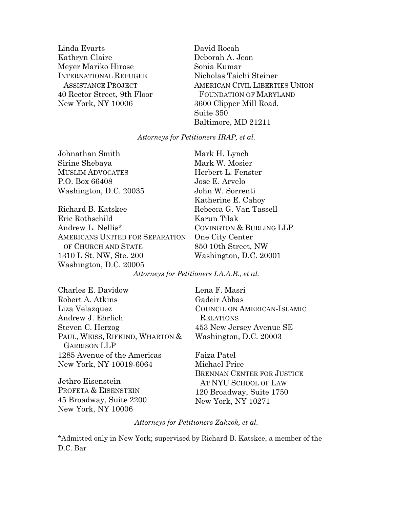Linda Evarts Kathryn Claire Meyer Mariko Hirose INTERNATIONAL REFUGEE ASSISTANCE PROJECT 40 Rector Street, 9th Floor New York, NY 10006

David Rocah Deborah A. Jeon Sonia Kumar Nicholas Taichi Steiner AMERICAN CIVIL LIBERTIES UNION FOUNDATION OF MARYLAND 3600 Clipper Mill Road, Suite 350 Baltimore, MD 21211

*Attorneys for Petitioners IRAP, et al.*

Johnathan Smith Sirine Shebaya MUSLIM ADVOCATES P.O. Box 66408 Washington, D.C. 20035

Richard B. Katskee Eric Rothschild Andrew L. Nellis\* AMERICANS UNITED FOR SEPARATION OF CHURCH AND STATE 1310 L St. NW, Ste. 200 Washington, D.C. 20005

Mark H. Lynch Mark W. Mosier Herbert L. Fenster Jose E. Arvelo John W. Sorrenti Katherine E. Cahoy Rebecca G. Van Tassell Karun Tilak COVINGTON & BURLING LLP One City Center 850 10th Street, NW Washington, D.C. 20001

*Attorneys for Petitioners I.A.A.B., et al.*

Charles E. Davidow Robert A. Atkins Liza Velazquez Andrew J. Ehrlich Steven C. Herzog PAUL, WEISS, RIFKIND, WHARTON & GARRISON LLP 1285 Avenue of the Americas New York, NY 10019-6064

Jethro Eisenstein PROFETA & EISENSTEIN 45 Broadway, Suite 2200 New York, NY 10006

Lena F. Masri Gadeir Abbas COUNCIL ON AMERICAN-ISLAMIC RELATIONS 453 New Jersey Avenue SE Washington, D.C. 20003

Faiza Patel Michael Price BRENNAN CENTER FOR JUSTICE AT NYU SCHOOL OF LAW 120 Broadway, Suite 1750 New York, NY 10271

*Attorneys for Petitioners Zakzok, et al.*

\*Admitted only in New York; supervised by Richard B. Katskee, a member of the D.C. Bar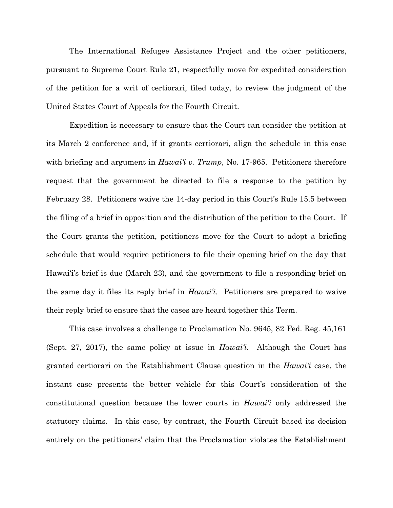The International Refugee Assistance Project and the other petitioners, pursuant to Supreme Court Rule 21, respectfully move for expedited consideration of the petition for a writ of certiorari, filed today, to review the judgment of the United States Court of Appeals for the Fourth Circuit.

Expedition is necessary to ensure that the Court can consider the petition at its March 2 conference and, if it grants certiorari, align the schedule in this case with briefing and argument in *Hawai'i v. Trump*, No. 17-965. Petitioners therefore request that the government be directed to file a response to the petition by February 28. Petitioners waive the 14-day period in this Court's Rule 15.5 between the filing of a brief in opposition and the distribution of the petition to the Court. If the Court grants the petition, petitioners move for the Court to adopt a briefing schedule that would require petitioners to file their opening brief on the day that Hawai'i's brief is due (March 23), and the government to file a responding brief on the same day it files its reply brief in *Hawai'i*. Petitioners are prepared to waive their reply brief to ensure that the cases are heard together this Term.

This case involves a challenge to Proclamation No. 9645, 82 Fed. Reg. 45,161 (Sept. 27, 2017), the same policy at issue in *Hawai'i*. Although the Court has granted certiorari on the Establishment Clause question in the *Hawai'i* case, the instant case presents the better vehicle for this Court's consideration of the constitutional question because the lower courts in *Hawai'i* only addressed the statutory claims. In this case, by contrast, the Fourth Circuit based its decision entirely on the petitioners' claim that the Proclamation violates the Establishment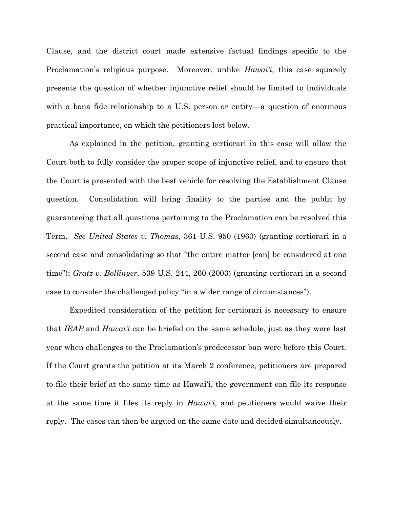Clause, and the district court made extensive factual findings specific to the Proclamation's religious purpose. Moreover, unlike *Hawai'i*, this case squarely presents the question of whether injunctive relief should be limited to individuals with a bona fide relationship to a U.S. person or entity—a question of enormous practical importance, on which the petitioners lost below.

As explained in the petition, granting certiorari in this case will allow the Court both to fully consider the proper scope of injunctive relief, and to ensure that the Court is presented with the best vehicle for resolving the Establishment Clause question. Consolidation will bring finality to the parties and the public by guaranteeing that all questions pertaining to the Proclamation can be resolved this Term. *See United States v. Thomas*, 361 U.S. 950 (1960) (granting certiorari in a second case and consolidating so that "the entire matter [can] be considered at one time"); *Gratz v. Bollinger*, 539 U.S. 244, 260 (2003) (granting certiorari in a second case to consider the challenged policy "in a wider range of circumstances").

Expedited consideration of the petition for certiorari is necessary to ensure that *IRAP* and *Hawai'i* can be briefed on the same schedule, just as they were last year when challenges to the Proclamation's predecessor ban were before this Court. If the Court grants the petition at its March 2 conference, petitioners are prepared to file their brief at the same time as Hawai'i, the government can file its response at the same time it files its reply in *Hawai'i*, and petitioners would waive their reply. The cases can then be argued on the same date and decided simultaneously.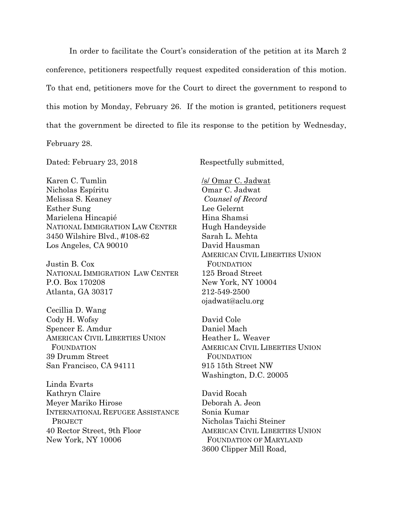In order to facilitate the Court's consideration of the petition at its March 2 conference, petitioners respectfully request expedited consideration of this motion. To that end, petitioners move for the Court to direct the government to respond to this motion by Monday, February 26. If the motion is granted, petitioners request that the government be directed to file its response to the petition by Wednesday, February 28.

Dated: February 23, 2018 Respectfully submitted,

Karen C. Tumlin Nicholas Espíritu Melissa S. Keaney Esther Sung Marielena Hincapié NATIONAL IMMIGRATION LAW CENTER 3450 Wilshire Blvd., #108-62 Los Angeles, CA 90010

Justin B. Cox NATIONAL IMMIGRATION LAW CENTER P.O. Box 170208 Atlanta, GA 30317

Cecillia D. Wang Cody H. Wofsy Spencer E. Amdur AMERICAN CIVIL LIBERTIES UNION **FOUNDATION** 39 Drumm Street San Francisco, CA 94111

Linda Evarts Kathryn Claire Meyer Mariko Hirose INTERNATIONAL REFUGEE ASSISTANCE **PROJECT** 40 Rector Street, 9th Floor New York, NY 10006

/s/ Omar C. Jadwat Omar C. Jadwat *Counsel of Record* Lee Gelernt Hina Shamsi Hugh Handeyside Sarah L. Mehta David Hausman AMERICAN CIVIL LIBERTIES UNION FOUNDATION 125 Broad Street New York, NY 10004 212-549-2500 ojadwat@aclu.org

David Cole Daniel Mach Heather L. Weaver AMERICAN CIVIL LIBERTIES UNION FOUNDATION 915 15th Street NW Washington, D.C. 20005

David Rocah Deborah A. Jeon Sonia Kumar Nicholas Taichi Steiner AMERICAN CIVIL LIBERTIES UNION FOUNDATION OF MARYLAND 3600 Clipper Mill Road,